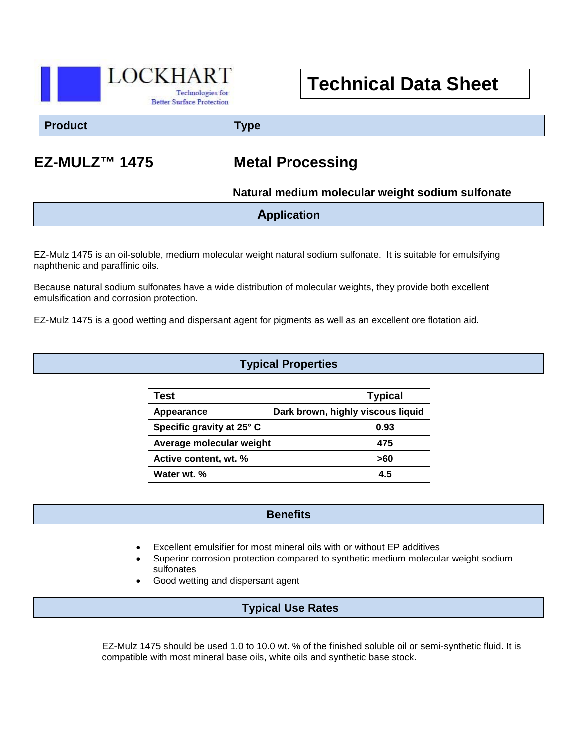

# **Technical Data Sheet**

**Product Type**

## **EZ-MULZ™ 1475 Metal Processing**

 **Natural medium molecular weight sodium sulfonate**

| <b>Application</b> |
|--------------------|
|                    |

EZ-Mulz 1475 is an oil-soluble, medium molecular weight natural sodium sulfonate. It is suitable for emulsifying naphthenic and paraffinic oils.

Because natural sodium sulfonates have a wide distribution of molecular weights, they provide both excellent emulsification and corrosion protection.

EZ-Mulz 1475 is a good wetting and dispersant agent for pigments as well as an excellent ore flotation aid.

#### **Typical Properties**

| Test                      | <b>Typical</b>                    |
|---------------------------|-----------------------------------|
| Appearance                | Dark brown, highly viscous liquid |
| Specific gravity at 25° C | 0.93                              |
| Average molecular weight  | 475                               |
| Active content, wt. %     | >60                               |
| Water wt. %               | 45                                |

#### **Benefits**

- Excellent emulsifier for most mineral oils with or without EP additives
- Superior corrosion protection compared to synthetic medium molecular weight sodium sulfonates
- Good wetting and dispersant agent

 $\overline{a}$ 

#### **Typical Use Rates**

EZ-Mulz 1475 should be used 1.0 to 10.0 wt. % of the finished soluble oil or semi-synthetic fluid. It is compatible with most mineral base oils, white oils and synthetic base stock.